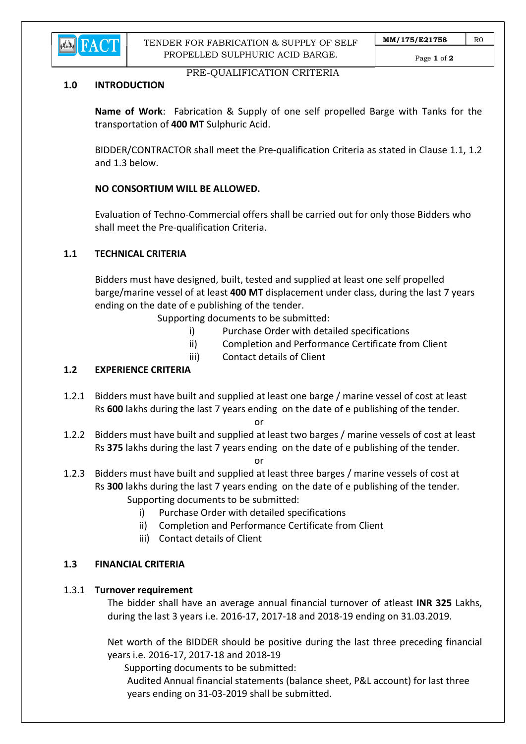

TENDER FOR FABRICATION & SUPPLY OF SELF PROPELLED SULPHURIC ACID BARGE.

## PRE-QUALIFICATION CRITERIA

#### 1.0 INTRODUCTION

Name of Work: Fabrication & Supply of one self propelled Barge with Tanks for the transportation of 400 MT Sulphuric Acid.

 BIDDER/CONTRACTOR shall meet the Pre-qualification Criteria as stated in Clause 1.1, 1.2 and 1.3 below.

## NO CONSORTIUM WILL BE ALLOWED.

 Evaluation of Techno-Commercial offers shall be carried out for only those Bidders who shall meet the Pre-qualification Criteria.

### 1.1 TECHNICAL CRITERIA

 Bidders must have designed, built, tested and supplied at least one self propelled barge/marine vessel of at least 400 MT displacement under class, during the last 7 years ending on the date of e publishing of the tender.

Supporting documents to be submitted:

- i) Purchase Order with detailed specifications
- ii) Completion and Performance Certificate from Client
- iii) Contact details of Client

## 1.2 EXPERIENCE CRITERIA

1.2.1 Bidders must have built and supplied at least one barge / marine vessel of cost at least Rs 600 lakhs during the last 7 years ending on the date of e publishing of the tender.

**or** and the state of the state of the state of the state of the state of the state of the state of the state of the state of the state of the state of the state of the state of the state of the state of the state of the s

1.2.2 Bidders must have built and supplied at least two barges / marine vessels of cost at least Rs 375 lakhs during the last 7 years ending on the date of e publishing of the tender.

**or** and the contract of the contract of the contract of the contract of the contract of the contract of the contract of the contract of the contract of the contract of the contract of the contract of the contract of the c

- 1.2.3 Bidders must have built and supplied at least three barges / marine vessels of cost at Rs 300 lakhs during the last 7 years ending on the date of e publishing of the tender. Supporting documents to be submitted:
	- i) Purchase Order with detailed specifications
	- ii) Completion and Performance Certificate from Client
	- iii) Contact details of Client

### 1.3 FINANCIAL CRITERIA

### 1.3.1 Turnover requirement

 The bidder shall have an average annual financial turnover of atleast INR 325 Lakhs, during the last 3 years i.e. 2016-17, 2017-18 and 2018-19 ending on 31.03.2019.

 Net worth of the BIDDER should be positive during the last three preceding financial years i.e. 2016-17, 2017-18 and 2018-19

Supporting documents to be submitted:

 Audited Annual financial statements (balance sheet, P&L account) for last three years ending on 31-03-2019 shall be submitted.